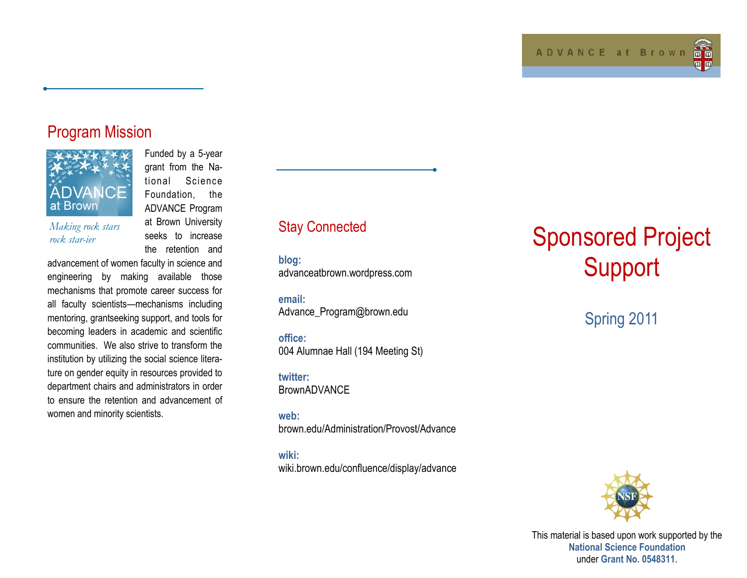### Program Mission



*Making rock stars rock star-ier*

Funded by a 5-year grant from the National Science Foundation, the ADVANCE Program at Brown University seeks to increase the retention and

advancement of women faculty in science and engineering by making available those mechanisms that promote career success for all faculty scientists—mechanisms including mentoring, grantseeking support, and tools for becoming leaders in academic and scientific communities. We also strive to transform the institution by utilizing the social science literature on gender equity in resources provided to department chairs and administrators in order to ensure the retention and advancement of women and minority scientists.

### Stay Connected

**blog:**  advanceatbrown.wordpress.com

**email:**  Advance\_Program@brown.edu

**office:**  004 Alumnae Hall (194 Meeting St)

**twitter: BrownADVANCE** 

**web:**  brown.edu/Administration/Provost/Advance

**wiki:**  wiki.brown.edu/confluence/display/advance

# Sponsored Project **Support**

## Spring 2011



This material is based upon work supported by the **National Science Foundation** under **Grant No. 0548311**.